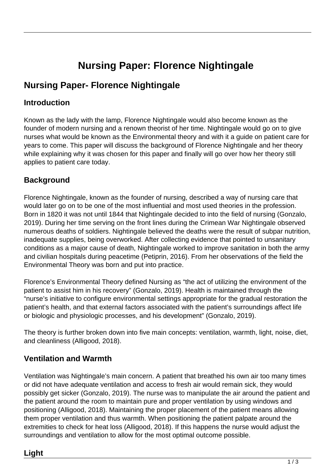# **Nursing Paper: Florence Nightingale**

# **Nursing Paper- Florence Nightingale**

#### **Introduction**

Known as the lady with the lamp, Florence Nightingale would also become known as the founder of modern nursing and a renown theorist of her time. Nightingale would go on to give nurses what would be known as the Environmental theory and with it a guide on patient care for years to come. This paper will discuss the background of Florence Nightingale and her theory while explaining why it was chosen for this paper and finally will go over how her theory still applies to patient care today.

# **Background**

Florence Nightingale, known as the founder of nursing, described a way of nursing care that would later go on to be one of the most influential and most used theories in the profession. Born in 1820 it was not until 1844 that Nightingale decided to into the field of nursing (Gonzalo, 2019). During her time serving on the front lines during the Crimean War Nightingale observed numerous deaths of soldiers. Nightingale believed the deaths were the result of subpar nutrition, inadequate supplies, being overworked. After collecting evidence that pointed to unsanitary conditions as a major cause of death, Nightingale worked to improve sanitation in both the army and civilian hospitals during peacetime (Petiprin, 2016). From her observations of the field the Environmental Theory was born and put into practice.

Florence's Environmental Theory defined Nursing as "the act of utilizing the environment of the patient to assist him in his recovery" (Gonzalo, 2019). Health is maintained through the "nurse's initiative to configure environmental settings appropriate for the gradual restoration the patient's health, and that external factors associated with the patient's surroundings affect life or biologic and physiologic processes, and his development" (Gonzalo, 2019).

The theory is further broken down into five main concepts: ventilation, warmth, light, noise, diet, and cleanliness (Alligood, 2018).

## **Ventilation and Warmth**

Ventilation was Nightingale's main concern. A patient that breathed his own air too many times or did not have adequate ventilation and access to fresh air would remain sick, they would possibly get sicker (Gonzalo, 2019). The nurse was to manipulate the air around the patient and the patient around the room to maintain pure and proper ventilation by using windows and positioning (Alligood, 2018). Maintaining the proper placement of the patient means allowing them proper ventilation and thus warmth. When positioning the patient palpate around the extremities to check for heat loss (Alligood, 2018). If this happens the nurse would adjust the surroundings and ventilation to allow for the most optimal outcome possible.

## **Light**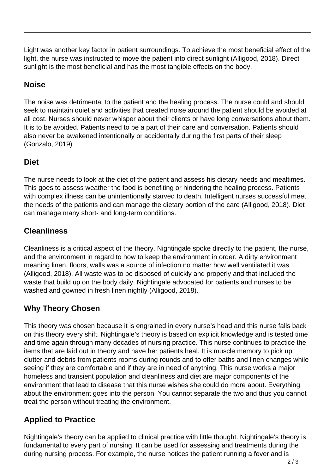Light was another key factor in patient surroundings. To achieve the most beneficial effect of the light, the nurse was instructed to move the patient into direct sunlight (Alligood, 2018). Direct sunlight is the most beneficial and has the most tangible effects on the body.

# **Noise**

The noise was detrimental to the patient and the healing process. The nurse could and should seek to maintain quiet and activities that created noise around the patient should be avoided at all cost. Nurses should never whisper about their clients or have long conversations about them. It is to be avoided. Patients need to be a part of their care and conversation. Patients should also never be awakened intentionally or accidentally during the first parts of their sleep (Gonzalo, 2019)

#### **Diet**

The nurse needs to look at the diet of the patient and assess his dietary needs and mealtimes. This goes to assess weather the food is benefiting or hindering the healing process. Patients with complex illness can be unintentionally starved to death. Intelligent nurses successful meet the needs of the patients and can manage the dietary portion of the care (Alligood, 2018). Diet can manage many short- and long-term conditions.

#### **Cleanliness**

Cleanliness is a critical aspect of the theory. Nightingale spoke directly to the patient, the nurse, and the environment in regard to how to keep the environment in order. A dirty environment meaning linen, floors, walls was a source of infection no matter how well ventilated it was (Alligood, 2018). All waste was to be disposed of quickly and properly and that included the waste that build up on the body daily. Nightingale advocated for patients and nurses to be washed and gowned in fresh linen nightly (Alligood, 2018).

## **Why Theory Chosen**

This theory was chosen because it is engrained in every nurse's head and this nurse falls back on this theory every shift. Nightingale's theory is based on explicit knowledge and is tested time and time again through many decades of nursing practice. This nurse continues to practice the items that are laid out in theory and have her patients heal. It is muscle memory to pick up clutter and debris from patients rooms during rounds and to offer baths and linen changes while seeing if they are comfortable and if they are in need of anything. This nurse works a major homeless and transient population and cleanliness and diet are major components of the environment that lead to disease that this nurse wishes she could do more about. Everything about the environment goes into the person. You cannot separate the two and thus you cannot treat the person without treating the environment.

#### **Applied to Practice**

Nightingale's theory can be applied to clinical practice with little thought. Nightingale's theory is fundamental to every part of nursing. It can be used for assessing and treatments during the during nursing process. For example, the nurse notices the patient running a fever and is